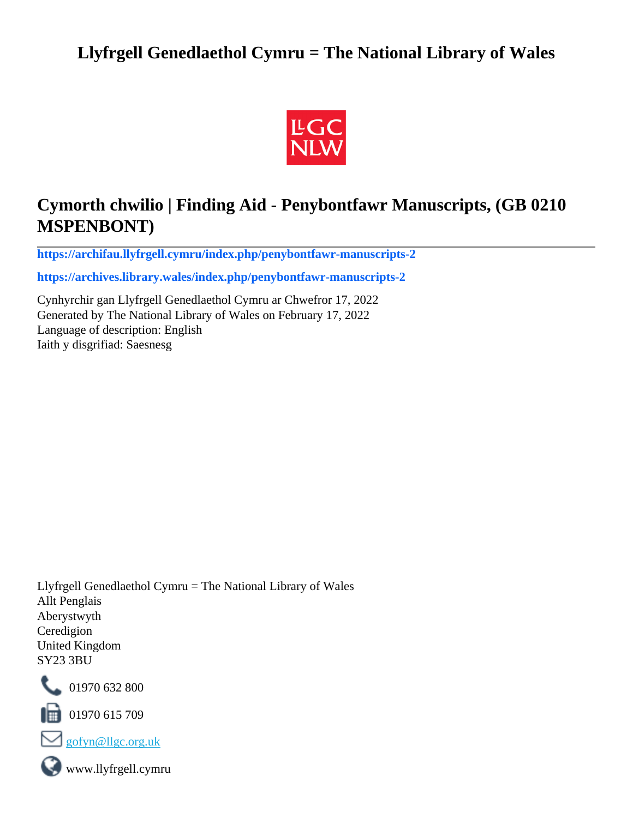## **Llyfrgell Genedlaethol Cymru = The National Library of Wales**



## **Cymorth chwilio | Finding Aid - Penybontfawr Manuscripts, (GB 0210 MSPENBONT)**

**[https://archifau.llyfrgell.cymru/index.php/penybontfawr-manuscripts-2](https://archifau.llyfrgell.cymru/index.php/penybontfawr-manuscripts-2;isad?sf_culture=cy)**

**[https://archives.library.wales/index.php/penybontfawr-manuscripts-2](https://archives.library.wales/index.php/penybontfawr-manuscripts-2;isad?sf_culture=en)**

Cynhyrchir gan Llyfrgell Genedlaethol Cymru ar Chwefror 17, 2022 Generated by The National Library of Wales on February 17, 2022 Language of description: English Iaith y disgrifiad: Saesnesg

Llyfrgell Genedlaethol Cymru = The National Library of Wales Allt Penglais Aberystwyth Ceredigion United Kingdom SY23 3BU



101970 632 800

 $\blacksquare$  01970 615 709



www.llyfrgell.cymru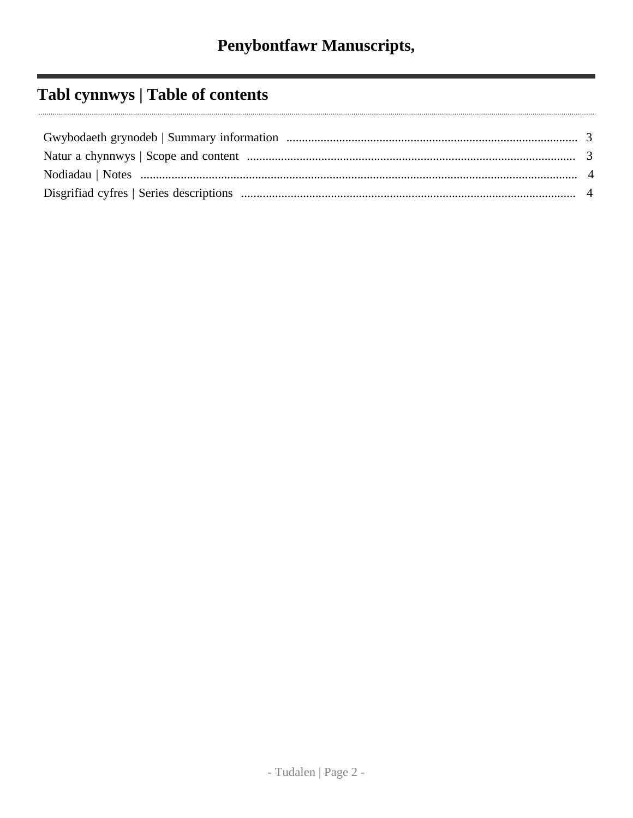## Tabl cynnwys | Table of contents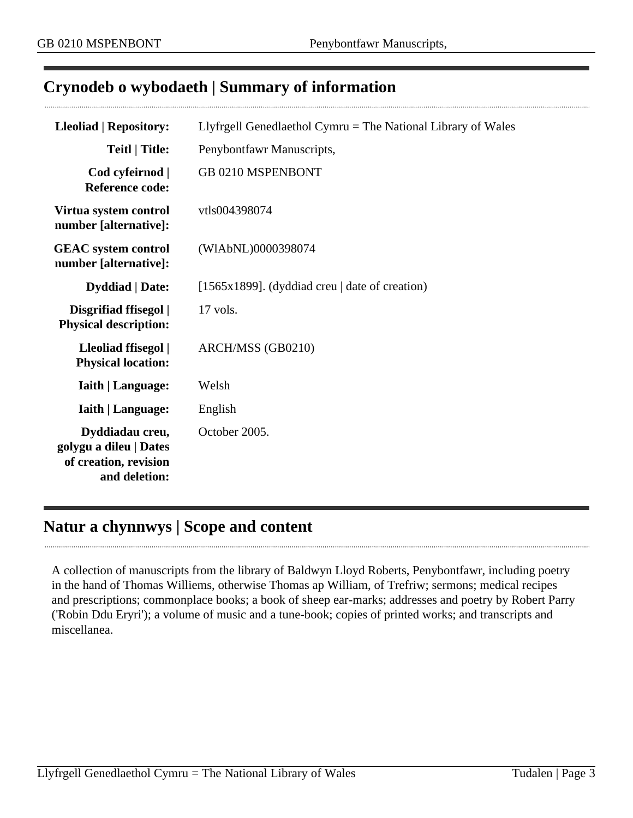## <span id="page-2-0"></span>**Crynodeb o wybodaeth | Summary of information**

| <b>Lleoliad   Repository:</b><br>Llyfrgell Genedlaethol Cymru $=$ The National Library of Wales |                                                      |
|-------------------------------------------------------------------------------------------------|------------------------------------------------------|
| <b>Teitl   Title:</b>                                                                           | Penybontfawr Manuscripts,                            |
| Cod cyfeirnod  <br><b>Reference code:</b>                                                       | GB 0210 MSPENBONT                                    |
| Virtua system control<br>number [alternative]:                                                  | vtls004398074                                        |
| <b>GEAC</b> system control<br>number [alternative]:                                             | (WIAbNL)0000398074                                   |
| <b>Dyddiad</b>   Date:                                                                          | [1565x1899]. (dyddiad creu $\vert$ date of creation) |
| Disgrifiad ffisegol  <br><b>Physical description:</b>                                           | 17 vols.                                             |
| Lleoliad ffisegol  <br><b>Physical location:</b>                                                | ARCH/MSS (GB0210)                                    |
| <b>Iaith   Language:</b>                                                                        | Welsh                                                |
| <b>Iaith   Language:</b>                                                                        | English                                              |
| Dyddiadau creu,<br>golygu a dileu   Dates<br>of creation, revision<br>and deletion:             | October 2005.                                        |

### <span id="page-2-1"></span>**Natur a chynnwys | Scope and content**

A collection of manuscripts from the library of Baldwyn Lloyd Roberts, Penybontfawr, including poetry in the hand of Thomas Williems, otherwise Thomas ap William, of Trefriw; sermons; medical recipes and prescriptions; commonplace books; a book of sheep ear-marks; addresses and poetry by Robert Parry ('Robin Ddu Eryri'); a volume of music and a tune-book; copies of printed works; and transcripts and miscellanea.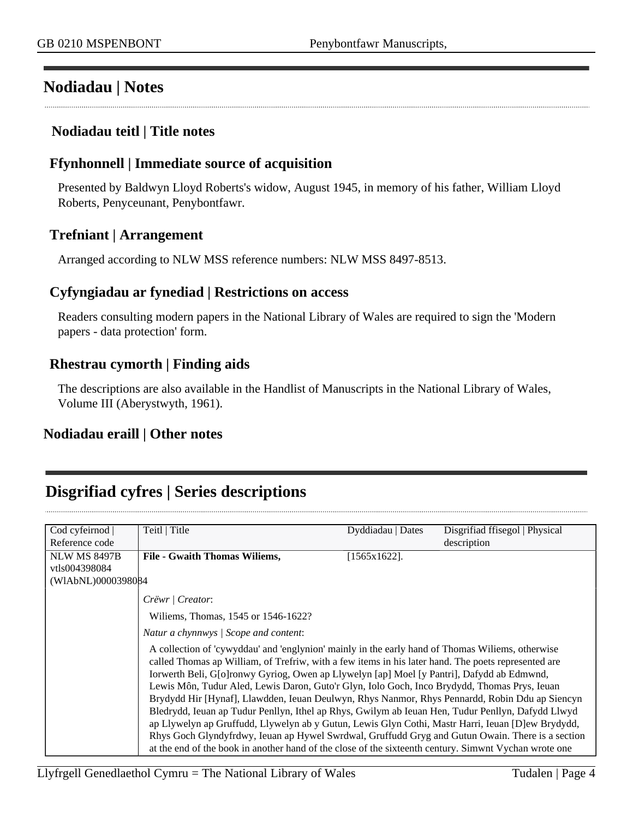### <span id="page-3-0"></span>**Nodiadau | Notes**

#### **Nodiadau teitl | Title notes**

#### **Ffynhonnell | Immediate source of acquisition**

Presented by Baldwyn Lloyd Roberts's widow, August 1945, in memory of his father, William Lloyd Roberts, Penyceunant, Penybontfawr.

#### **Trefniant | Arrangement**

Arranged according to NLW MSS reference numbers: NLW MSS 8497-8513.

#### **Cyfyngiadau ar fynediad | Restrictions on access**

Readers consulting modern papers in the National Library of Wales are required to sign the 'Modern papers - data protection' form.

#### **Rhestrau cymorth | Finding aids**

The descriptions are also available in the Handlist of Manuscripts in the National Library of Wales, Volume III (Aberystwyth, 1961).

#### **Nodiadau eraill | Other notes**

### <span id="page-3-1"></span>**Disgrifiad cyfres | Series descriptions**

| Cod cyfeirnod                        | Teitl   Title                                                                                                                                                                                                                                                                                                                                                                                                                                                                                                                                                                                                                                                                                                                                                                                                                                                                                                                 | Dyddiadau   Dates | Disgrifiad ffisegol   Physical |
|--------------------------------------|-------------------------------------------------------------------------------------------------------------------------------------------------------------------------------------------------------------------------------------------------------------------------------------------------------------------------------------------------------------------------------------------------------------------------------------------------------------------------------------------------------------------------------------------------------------------------------------------------------------------------------------------------------------------------------------------------------------------------------------------------------------------------------------------------------------------------------------------------------------------------------------------------------------------------------|-------------------|--------------------------------|
| Reference code                       |                                                                                                                                                                                                                                                                                                                                                                                                                                                                                                                                                                                                                                                                                                                                                                                                                                                                                                                               |                   | description                    |
| <b>NLW MS 8497B</b><br>vtls004398084 | <b>File - Gwaith Thomas Williems,</b>                                                                                                                                                                                                                                                                                                                                                                                                                                                                                                                                                                                                                                                                                                                                                                                                                                                                                         | [1565x1622].      |                                |
| (WIAbNL)0000398084                   |                                                                                                                                                                                                                                                                                                                                                                                                                                                                                                                                                                                                                                                                                                                                                                                                                                                                                                                               |                   |                                |
|                                      | Crëwr / Creator:                                                                                                                                                                                                                                                                                                                                                                                                                                                                                                                                                                                                                                                                                                                                                                                                                                                                                                              |                   |                                |
|                                      | Wiliems, Thomas, 1545 or 1546-1622?                                                                                                                                                                                                                                                                                                                                                                                                                                                                                                                                                                                                                                                                                                                                                                                                                                                                                           |                   |                                |
|                                      | Natur a chynnwys / Scope and content:                                                                                                                                                                                                                                                                                                                                                                                                                                                                                                                                                                                                                                                                                                                                                                                                                                                                                         |                   |                                |
|                                      | A collection of 'cywyddau' and 'englynion' mainly in the early hand of Thomas Wiliems, otherwise<br>called Thomas ap William, of Trefriw, with a few items in his later hand. The poets represented are<br>Iorwerth Beli, G[o]ronwy Gyriog, Owen ap Llywelyn [ap] Moel [y Pantri], Dafydd ab Edmwnd,<br>Lewis Môn, Tudur Aled, Lewis Daron, Guto'r Glyn, Iolo Goch, Inco Brydydd, Thomas Prys, Ieuan<br>Brydydd Hir [Hynaf], Llawdden, Ieuan Deulwyn, Rhys Nanmor, Rhys Pennardd, Robin Ddu ap Siencyn<br>Bledrydd, Ieuan ap Tudur Penllyn, Ithel ap Rhys, Gwilym ab Ieuan Hen, Tudur Penllyn, Dafydd Llwyd<br>ap Llywelyn ap Gruffudd, Llywelyn ab y Gutun, Lewis Glyn Cothi, Mastr Harri, Ieuan [D]ew Brydydd,<br>Rhys Goch Glyndyfrdwy, Ieuan ap Hywel Swrdwal, Gruffudd Gryg and Gutun Owain. There is a section<br>at the end of the book in another hand of the close of the sixteenth century. Simwnt Vychan wrote one |                   |                                |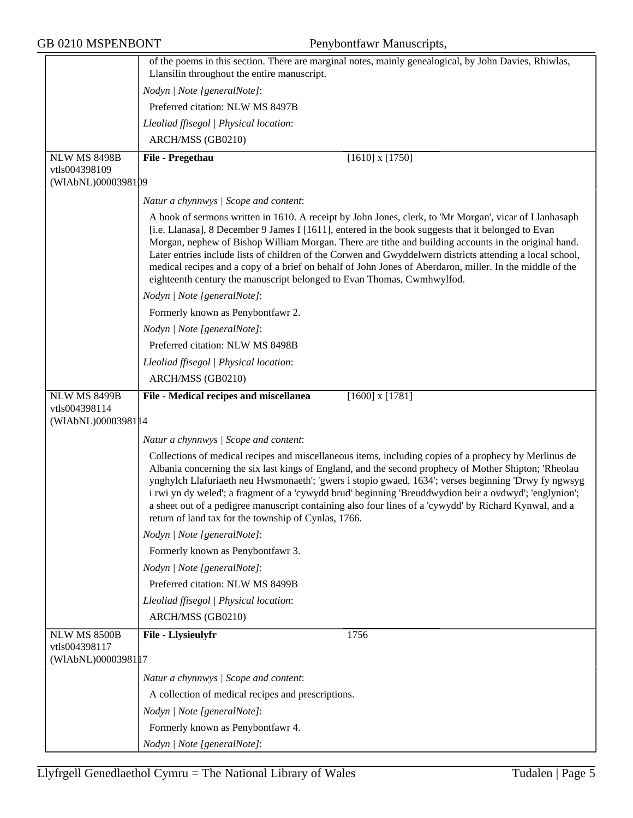|                                      | of the poems in this section. There are marginal notes, mainly genealogical, by John Davies, Rhiwlas,<br>Llansilin throughout the entire manuscript.                                                                                                                                                                                                                                                                                                                                                                                                                                                                    |  |  |
|--------------------------------------|-------------------------------------------------------------------------------------------------------------------------------------------------------------------------------------------------------------------------------------------------------------------------------------------------------------------------------------------------------------------------------------------------------------------------------------------------------------------------------------------------------------------------------------------------------------------------------------------------------------------------|--|--|
|                                      | Nodyn   Note [generalNote]:                                                                                                                                                                                                                                                                                                                                                                                                                                                                                                                                                                                             |  |  |
|                                      | Preferred citation: NLW MS 8497B                                                                                                                                                                                                                                                                                                                                                                                                                                                                                                                                                                                        |  |  |
|                                      |                                                                                                                                                                                                                                                                                                                                                                                                                                                                                                                                                                                                                         |  |  |
|                                      | Lleoliad ffisegol   Physical location:                                                                                                                                                                                                                                                                                                                                                                                                                                                                                                                                                                                  |  |  |
|                                      | ARCH/MSS (GB0210)                                                                                                                                                                                                                                                                                                                                                                                                                                                                                                                                                                                                       |  |  |
| <b>NLW MS 8498B</b><br>vtls004398109 | $[1610]$ x $[1750]$<br>File - Pregethau                                                                                                                                                                                                                                                                                                                                                                                                                                                                                                                                                                                 |  |  |
| (WIAbNL)0000398109                   |                                                                                                                                                                                                                                                                                                                                                                                                                                                                                                                                                                                                                         |  |  |
|                                      | Natur a chynnwys / Scope and content:                                                                                                                                                                                                                                                                                                                                                                                                                                                                                                                                                                                   |  |  |
|                                      | A book of sermons written in 1610. A receipt by John Jones, clerk, to 'Mr Morgan', vicar of Llanhasaph<br>[i.e. Llanasa], 8 December 9 James I [1611], entered in the book suggests that it belonged to Evan<br>Morgan, nephew of Bishop William Morgan. There are tithe and building accounts in the original hand.<br>Later entries include lists of children of the Corwen and Gwyddelwern districts attending a local school,<br>medical recipes and a copy of a brief on behalf of John Jones of Aberdaron, miller. In the middle of the<br>eighteenth century the manuscript belonged to Evan Thomas, Cwmhwylfod. |  |  |
|                                      | Nodyn   Note [generalNote]:                                                                                                                                                                                                                                                                                                                                                                                                                                                                                                                                                                                             |  |  |
|                                      | Formerly known as Penybontfawr 2.                                                                                                                                                                                                                                                                                                                                                                                                                                                                                                                                                                                       |  |  |
|                                      | Nodyn   Note [generalNote]:                                                                                                                                                                                                                                                                                                                                                                                                                                                                                                                                                                                             |  |  |
|                                      | Preferred citation: NLW MS 8498B                                                                                                                                                                                                                                                                                                                                                                                                                                                                                                                                                                                        |  |  |
|                                      | Lleoliad ffisegol   Physical location:                                                                                                                                                                                                                                                                                                                                                                                                                                                                                                                                                                                  |  |  |
|                                      | ARCH/MSS (GB0210)                                                                                                                                                                                                                                                                                                                                                                                                                                                                                                                                                                                                       |  |  |
| <b>NLW MS 8499B</b>                  | File - Medical recipes and miscellanea<br>$[1600]$ x $[1781]$                                                                                                                                                                                                                                                                                                                                                                                                                                                                                                                                                           |  |  |
| vtls004398114                        |                                                                                                                                                                                                                                                                                                                                                                                                                                                                                                                                                                                                                         |  |  |
| (WIAbNL)00003981 14                  |                                                                                                                                                                                                                                                                                                                                                                                                                                                                                                                                                                                                                         |  |  |
|                                      | Natur a chynnwys / Scope and content:                                                                                                                                                                                                                                                                                                                                                                                                                                                                                                                                                                                   |  |  |
|                                      | Collections of medical recipes and miscellaneous items, including copies of a prophecy by Merlinus de<br>Albania concerning the six last kings of England, and the second prophecy of Mother Shipton; 'Rheolau<br>ynghylch Llafuriaeth neu Hwsmonaeth'; 'gwers i stopio gwaed, 1634'; verses beginning 'Drwy fy ngwsyg<br>i rwi yn dy weled'; a fragment of a 'cywydd brud' beginning 'Breuddwydion beir a ovdwyd'; 'englynion';<br>a sheet out of a pedigree manuscript containing also four lines of a 'cywydd' by Richard Kynwal, and a<br>return of land tax for the township of Cynlas, 1766.                      |  |  |
|                                      | Nodyn   Note [generalNote]:                                                                                                                                                                                                                                                                                                                                                                                                                                                                                                                                                                                             |  |  |
|                                      | Formerly known as Penybontfawr 3.                                                                                                                                                                                                                                                                                                                                                                                                                                                                                                                                                                                       |  |  |
|                                      | Nodyn   Note [generalNote]:                                                                                                                                                                                                                                                                                                                                                                                                                                                                                                                                                                                             |  |  |
|                                      | Preferred citation: NLW MS 8499B                                                                                                                                                                                                                                                                                                                                                                                                                                                                                                                                                                                        |  |  |
|                                      | Lleoliad ffisegol   Physical location:                                                                                                                                                                                                                                                                                                                                                                                                                                                                                                                                                                                  |  |  |
|                                      | ARCH/MSS (GB0210)                                                                                                                                                                                                                                                                                                                                                                                                                                                                                                                                                                                                       |  |  |
| <b>NLW MS 8500B</b><br>vtls004398117 | File - Llysieulyfr<br>1756                                                                                                                                                                                                                                                                                                                                                                                                                                                                                                                                                                                              |  |  |
| (WIAbNL)0000398117                   |                                                                                                                                                                                                                                                                                                                                                                                                                                                                                                                                                                                                                         |  |  |
|                                      | Natur a chynnwys / Scope and content:                                                                                                                                                                                                                                                                                                                                                                                                                                                                                                                                                                                   |  |  |
|                                      | A collection of medical recipes and prescriptions.                                                                                                                                                                                                                                                                                                                                                                                                                                                                                                                                                                      |  |  |
|                                      | Nodyn   Note [generalNote]:                                                                                                                                                                                                                                                                                                                                                                                                                                                                                                                                                                                             |  |  |
|                                      | Formerly known as Penybontfawr 4.                                                                                                                                                                                                                                                                                                                                                                                                                                                                                                                                                                                       |  |  |
|                                      | Nodyn   Note [generalNote]:                                                                                                                                                                                                                                                                                                                                                                                                                                                                                                                                                                                             |  |  |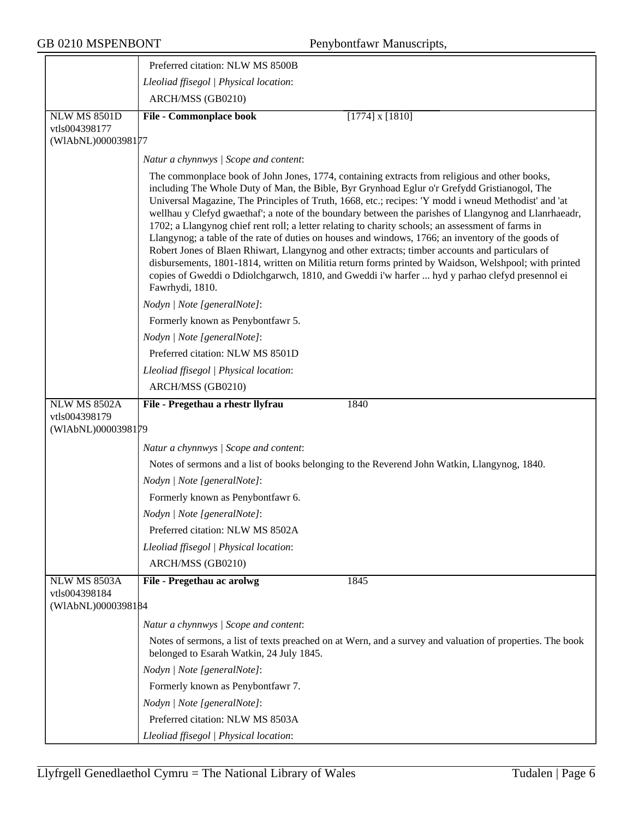GB 0210 MSPENBONT Penybontfawr Manuscripts,

|                                     | Preferred citation: NLW MS 8500B                                                                                                                                                                                                                                                                                                                                                                                                                                                                                                                                                                                                                                                                                                                                                                                                                                                                                                                             |  |
|-------------------------------------|--------------------------------------------------------------------------------------------------------------------------------------------------------------------------------------------------------------------------------------------------------------------------------------------------------------------------------------------------------------------------------------------------------------------------------------------------------------------------------------------------------------------------------------------------------------------------------------------------------------------------------------------------------------------------------------------------------------------------------------------------------------------------------------------------------------------------------------------------------------------------------------------------------------------------------------------------------------|--|
|                                     | Lleoliad ffisegol   Physical location:                                                                                                                                                                                                                                                                                                                                                                                                                                                                                                                                                                                                                                                                                                                                                                                                                                                                                                                       |  |
|                                     | ARCH/MSS (GB0210)                                                                                                                                                                                                                                                                                                                                                                                                                                                                                                                                                                                                                                                                                                                                                                                                                                                                                                                                            |  |
| <b>NLW MS 8501D</b>                 | <b>File - Commonplace book</b><br>$[1774]$ x $[1810]$                                                                                                                                                                                                                                                                                                                                                                                                                                                                                                                                                                                                                                                                                                                                                                                                                                                                                                        |  |
| vtls004398177                       |                                                                                                                                                                                                                                                                                                                                                                                                                                                                                                                                                                                                                                                                                                                                                                                                                                                                                                                                                              |  |
| (WIAbNL)0000398177                  |                                                                                                                                                                                                                                                                                                                                                                                                                                                                                                                                                                                                                                                                                                                                                                                                                                                                                                                                                              |  |
|                                     | Natur a chynnwys / Scope and content:                                                                                                                                                                                                                                                                                                                                                                                                                                                                                                                                                                                                                                                                                                                                                                                                                                                                                                                        |  |
|                                     | The commonplace book of John Jones, 1774, containing extracts from religious and other books,<br>including The Whole Duty of Man, the Bible, Byr Grynhoad Eglur o'r Grefydd Gristianogol, The<br>Universal Magazine, The Principles of Truth, 1668, etc.; recipes: 'Y modd i wneud Methodist' and 'at<br>wellhau y Clefyd gwaethaf'; a note of the boundary between the parishes of Llangynog and Llanrhaeadr,<br>1702; a Llangynog chief rent roll; a letter relating to charity schools; an assessment of farms in<br>Llangynog; a table of the rate of duties on houses and windows, 1766; an inventory of the goods of<br>Robert Jones of Blaen Rhiwart, Llangynog and other extracts; timber accounts and particulars of<br>disbursements, 1801-1814, written on Militia return forms printed by Waidson, Welshpool; with printed<br>copies of Gweddi o Ddiolchgarwch, 1810, and Gweddi i'w harfer  hyd y parhao clefyd presennol ei<br>Fawrhydi, 1810. |  |
|                                     | Nodyn   Note [generalNote]:                                                                                                                                                                                                                                                                                                                                                                                                                                                                                                                                                                                                                                                                                                                                                                                                                                                                                                                                  |  |
|                                     | Formerly known as Penybontfawr 5.                                                                                                                                                                                                                                                                                                                                                                                                                                                                                                                                                                                                                                                                                                                                                                                                                                                                                                                            |  |
|                                     | Nodyn   Note [generalNote]:                                                                                                                                                                                                                                                                                                                                                                                                                                                                                                                                                                                                                                                                                                                                                                                                                                                                                                                                  |  |
|                                     | Preferred citation: NLW MS 8501D                                                                                                                                                                                                                                                                                                                                                                                                                                                                                                                                                                                                                                                                                                                                                                                                                                                                                                                             |  |
|                                     | Lleoliad ffisegol   Physical location:                                                                                                                                                                                                                                                                                                                                                                                                                                                                                                                                                                                                                                                                                                                                                                                                                                                                                                                       |  |
|                                     | ARCH/MSS (GB0210)                                                                                                                                                                                                                                                                                                                                                                                                                                                                                                                                                                                                                                                                                                                                                                                                                                                                                                                                            |  |
| <b>NLW MS 8502A</b>                 | File - Pregethau a rhestr llyfrau<br>1840                                                                                                                                                                                                                                                                                                                                                                                                                                                                                                                                                                                                                                                                                                                                                                                                                                                                                                                    |  |
| vtls004398179<br>(WIAbNL)0000398179 |                                                                                                                                                                                                                                                                                                                                                                                                                                                                                                                                                                                                                                                                                                                                                                                                                                                                                                                                                              |  |
|                                     | Natur a chynnwys / Scope and content:                                                                                                                                                                                                                                                                                                                                                                                                                                                                                                                                                                                                                                                                                                                                                                                                                                                                                                                        |  |
|                                     | Notes of sermons and a list of books belonging to the Reverend John Watkin, Llangynog, 1840.                                                                                                                                                                                                                                                                                                                                                                                                                                                                                                                                                                                                                                                                                                                                                                                                                                                                 |  |
|                                     | Nodyn   Note [generalNote]:                                                                                                                                                                                                                                                                                                                                                                                                                                                                                                                                                                                                                                                                                                                                                                                                                                                                                                                                  |  |
|                                     | Formerly known as Penybontfawr 6.                                                                                                                                                                                                                                                                                                                                                                                                                                                                                                                                                                                                                                                                                                                                                                                                                                                                                                                            |  |
|                                     | Nodyn   Note [generalNote]:                                                                                                                                                                                                                                                                                                                                                                                                                                                                                                                                                                                                                                                                                                                                                                                                                                                                                                                                  |  |
|                                     | Preferred citation: NLW MS 8502A                                                                                                                                                                                                                                                                                                                                                                                                                                                                                                                                                                                                                                                                                                                                                                                                                                                                                                                             |  |
|                                     | Lleoliad ffisegol   Physical location:                                                                                                                                                                                                                                                                                                                                                                                                                                                                                                                                                                                                                                                                                                                                                                                                                                                                                                                       |  |
|                                     | ARCH/MSS (GB0210)                                                                                                                                                                                                                                                                                                                                                                                                                                                                                                                                                                                                                                                                                                                                                                                                                                                                                                                                            |  |
| NLW MS 8503A                        | File - Pregethau ac arolwg<br>1845                                                                                                                                                                                                                                                                                                                                                                                                                                                                                                                                                                                                                                                                                                                                                                                                                                                                                                                           |  |
| vtls004398184<br>(WIAbNL)0000398184 |                                                                                                                                                                                                                                                                                                                                                                                                                                                                                                                                                                                                                                                                                                                                                                                                                                                                                                                                                              |  |
|                                     | Natur a chynnwys / Scope and content:                                                                                                                                                                                                                                                                                                                                                                                                                                                                                                                                                                                                                                                                                                                                                                                                                                                                                                                        |  |
|                                     | Notes of sermons, a list of texts preached on at Wern, and a survey and valuation of properties. The book<br>belonged to Esarah Watkin, 24 July 1845.                                                                                                                                                                                                                                                                                                                                                                                                                                                                                                                                                                                                                                                                                                                                                                                                        |  |
|                                     | Nodyn   Note [generalNote]:                                                                                                                                                                                                                                                                                                                                                                                                                                                                                                                                                                                                                                                                                                                                                                                                                                                                                                                                  |  |
|                                     | Formerly known as Penybontfawr 7.                                                                                                                                                                                                                                                                                                                                                                                                                                                                                                                                                                                                                                                                                                                                                                                                                                                                                                                            |  |
|                                     | Nodyn   Note [generalNote]:                                                                                                                                                                                                                                                                                                                                                                                                                                                                                                                                                                                                                                                                                                                                                                                                                                                                                                                                  |  |
|                                     | Preferred citation: NLW MS 8503A                                                                                                                                                                                                                                                                                                                                                                                                                                                                                                                                                                                                                                                                                                                                                                                                                                                                                                                             |  |
|                                     | Lleoliad ffisegol   Physical location:                                                                                                                                                                                                                                                                                                                                                                                                                                                                                                                                                                                                                                                                                                                                                                                                                                                                                                                       |  |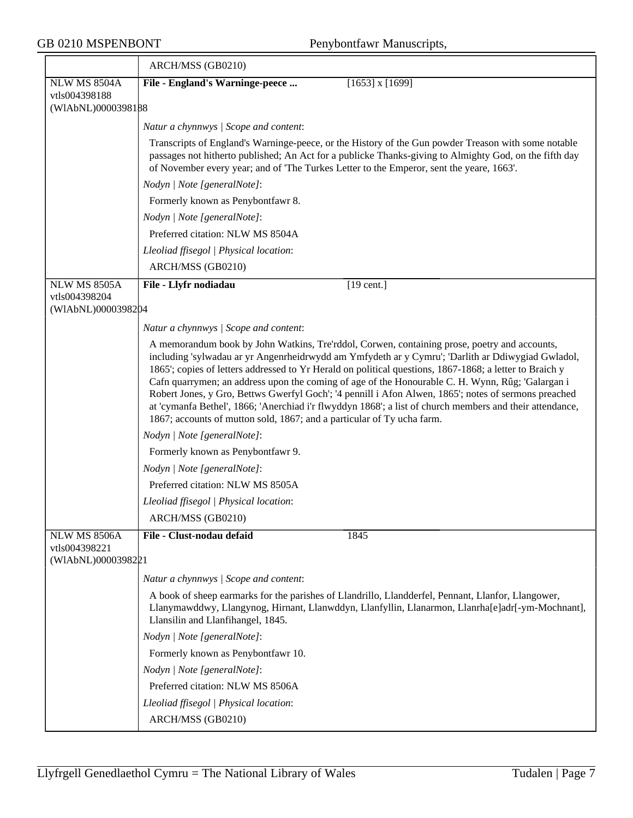$\overline{ }$ 

GB 0210 MSPENBONT Penybontfawr Manuscripts,

|                                                            | ARCH/MSS (GB0210)                                                                                                                                                                                                                                                                                                                                                                                                                                                                                                                                                                                                                                                                                              |
|------------------------------------------------------------|----------------------------------------------------------------------------------------------------------------------------------------------------------------------------------------------------------------------------------------------------------------------------------------------------------------------------------------------------------------------------------------------------------------------------------------------------------------------------------------------------------------------------------------------------------------------------------------------------------------------------------------------------------------------------------------------------------------|
| <b>NLW MS 8504A</b>                                        | File - England's Warninge-peece<br>$[1653]$ x $[1699]$                                                                                                                                                                                                                                                                                                                                                                                                                                                                                                                                                                                                                                                         |
| vtls004398188<br>(WIAbNL)0000398188                        |                                                                                                                                                                                                                                                                                                                                                                                                                                                                                                                                                                                                                                                                                                                |
|                                                            |                                                                                                                                                                                                                                                                                                                                                                                                                                                                                                                                                                                                                                                                                                                |
|                                                            | Natur a chynnwys / Scope and content:                                                                                                                                                                                                                                                                                                                                                                                                                                                                                                                                                                                                                                                                          |
|                                                            | Transcripts of England's Warninge-peece, or the History of the Gun powder Treason with some notable<br>passages not hitherto published; An Act for a publicke Thanks-giving to Almighty God, on the fifth day<br>of November every year; and of 'The Turkes Letter to the Emperor, sent the yeare, 1663'.                                                                                                                                                                                                                                                                                                                                                                                                      |
|                                                            | Nodyn   Note [generalNote]:                                                                                                                                                                                                                                                                                                                                                                                                                                                                                                                                                                                                                                                                                    |
|                                                            | Formerly known as Penybontfawr 8.                                                                                                                                                                                                                                                                                                                                                                                                                                                                                                                                                                                                                                                                              |
|                                                            | Nodyn   Note [generalNote]:                                                                                                                                                                                                                                                                                                                                                                                                                                                                                                                                                                                                                                                                                    |
|                                                            | Preferred citation: NLW MS 8504A                                                                                                                                                                                                                                                                                                                                                                                                                                                                                                                                                                                                                                                                               |
|                                                            | Lleoliad ffisegol   Physical location:                                                                                                                                                                                                                                                                                                                                                                                                                                                                                                                                                                                                                                                                         |
|                                                            | ARCH/MSS (GB0210)                                                                                                                                                                                                                                                                                                                                                                                                                                                                                                                                                                                                                                                                                              |
| <b>NLW MS 8505A</b>                                        | File - Llyfr nodiadau<br>$[19$ cent.]                                                                                                                                                                                                                                                                                                                                                                                                                                                                                                                                                                                                                                                                          |
| vtls004398204<br>(WIAbNL)0000398204                        |                                                                                                                                                                                                                                                                                                                                                                                                                                                                                                                                                                                                                                                                                                                |
|                                                            | Natur a chynnwys / Scope and content:                                                                                                                                                                                                                                                                                                                                                                                                                                                                                                                                                                                                                                                                          |
|                                                            | A memorandum book by John Watkins, Tre'rddol, Corwen, containing prose, poetry and accounts,<br>including 'sylwadau ar yr Angenrheidrwydd am Ymfydeth ar y Cymru'; 'Darlith ar Ddiwygiad Gwladol,<br>1865'; copies of letters addressed to Yr Herald on political questions, 1867-1868; a letter to Braich y<br>Cafn quarrymen; an address upon the coming of age of the Honourable C. H. Wynn, Rûg; 'Galargan i<br>Robert Jones, y Gro, Bettws Gwerfyl Goch'; '4 pennill i Afon Alwen, 1865'; notes of sermons preached<br>at 'cymanfa Bethel', 1866; 'Anerchiad i'r flwyddyn 1868'; a list of church members and their attendance,<br>1867; accounts of mutton sold, 1867; and a particular of Ty ucha farm. |
|                                                            | Nodyn   Note [generalNote]:                                                                                                                                                                                                                                                                                                                                                                                                                                                                                                                                                                                                                                                                                    |
|                                                            | Formerly known as Penybontfawr 9.                                                                                                                                                                                                                                                                                                                                                                                                                                                                                                                                                                                                                                                                              |
|                                                            | Nodyn   Note [generalNote]:                                                                                                                                                                                                                                                                                                                                                                                                                                                                                                                                                                                                                                                                                    |
|                                                            | Preferred citation: NLW MS 8505A                                                                                                                                                                                                                                                                                                                                                                                                                                                                                                                                                                                                                                                                               |
|                                                            | Lleoliad ffisegol   Physical location:                                                                                                                                                                                                                                                                                                                                                                                                                                                                                                                                                                                                                                                                         |
|                                                            | ARCH/MSS (GB0210)                                                                                                                                                                                                                                                                                                                                                                                                                                                                                                                                                                                                                                                                                              |
| <b>NLW MS 8506A</b><br>vtls004398221<br>(WIAbNL)0000398221 | 1845<br>File - Clust-nodau defaid                                                                                                                                                                                                                                                                                                                                                                                                                                                                                                                                                                                                                                                                              |
|                                                            | Natur a chynnwys / Scope and content:                                                                                                                                                                                                                                                                                                                                                                                                                                                                                                                                                                                                                                                                          |
|                                                            | A book of sheep earmarks for the parishes of Llandrillo, Llandderfel, Pennant, Llanfor, Llangower,<br>Llanymawddwy, Llangynog, Hirnant, Llanwddyn, Llanfyllin, Llanarmon, Llanrha[e]adr[-ym-Mochnant],<br>Llansilin and Llanfihangel, 1845.                                                                                                                                                                                                                                                                                                                                                                                                                                                                    |
|                                                            | Nodyn   Note [generalNote]:                                                                                                                                                                                                                                                                                                                                                                                                                                                                                                                                                                                                                                                                                    |
|                                                            | Formerly known as Penybontfawr 10.                                                                                                                                                                                                                                                                                                                                                                                                                                                                                                                                                                                                                                                                             |
|                                                            | Nodyn   Note [generalNote]:                                                                                                                                                                                                                                                                                                                                                                                                                                                                                                                                                                                                                                                                                    |
|                                                            | Preferred citation: NLW MS 8506A                                                                                                                                                                                                                                                                                                                                                                                                                                                                                                                                                                                                                                                                               |
|                                                            | Lleoliad ffisegol   Physical location:                                                                                                                                                                                                                                                                                                                                                                                                                                                                                                                                                                                                                                                                         |
|                                                            | ARCH/MSS (GB0210)                                                                                                                                                                                                                                                                                                                                                                                                                                                                                                                                                                                                                                                                                              |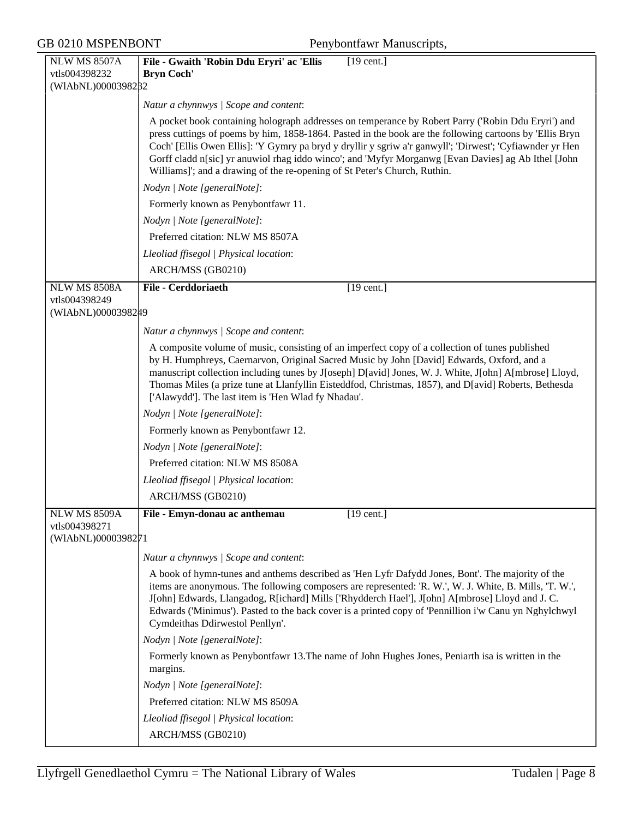$GB$  0210 MSPENBONT

| Penybontfawr Manuscripts, |  |
|---------------------------|--|
|---------------------------|--|

| <b>NLW MS 8507A</b>                 | File - Gwaith 'Robin Ddu Eryri' ac 'Ellis<br>$[19$ cent.]                                                                                                                                                                                                                                                                                                                                                                                                            |
|-------------------------------------|----------------------------------------------------------------------------------------------------------------------------------------------------------------------------------------------------------------------------------------------------------------------------------------------------------------------------------------------------------------------------------------------------------------------------------------------------------------------|
| vtls004398232<br>(WIAbNL)00003982B2 | <b>Bryn Coch'</b>                                                                                                                                                                                                                                                                                                                                                                                                                                                    |
|                                     | Natur a chynnwys / Scope and content:                                                                                                                                                                                                                                                                                                                                                                                                                                |
|                                     | A pocket book containing holograph addresses on temperance by Robert Parry ('Robin Ddu Eryri') and                                                                                                                                                                                                                                                                                                                                                                   |
|                                     | press cuttings of poems by him, 1858-1864. Pasted in the book are the following cartoons by 'Ellis Bryn<br>Coch' [Ellis Owen Ellis]: 'Y Gymry pa bryd y dryllir y sgriw a'r ganwyll'; 'Dirwest'; 'Cyfiawnder yr Hen                                                                                                                                                                                                                                                  |
|                                     | Gorff cladd n[sic] yr anuwiol rhag iddo winco'; and 'Myfyr Morganwg [Evan Davies] ag Ab Ithel [John<br>Williams]'; and a drawing of the re-opening of St Peter's Church, Ruthin.                                                                                                                                                                                                                                                                                     |
|                                     | Nodyn   Note [generalNote]:                                                                                                                                                                                                                                                                                                                                                                                                                                          |
|                                     | Formerly known as Penybontfawr 11.                                                                                                                                                                                                                                                                                                                                                                                                                                   |
|                                     | Nodyn   Note [generalNote]:                                                                                                                                                                                                                                                                                                                                                                                                                                          |
|                                     | Preferred citation: NLW MS 8507A                                                                                                                                                                                                                                                                                                                                                                                                                                     |
|                                     | Lleoliad ffisegol   Physical location:                                                                                                                                                                                                                                                                                                                                                                                                                               |
|                                     | ARCH/MSS (GB0210)                                                                                                                                                                                                                                                                                                                                                                                                                                                    |
| <b>NLW MS 8508A</b>                 | <b>File - Cerddoriaeth</b><br>$[19 \text{ cent.}]$                                                                                                                                                                                                                                                                                                                                                                                                                   |
| vtls004398249<br>(WIAbNL)00003982#9 |                                                                                                                                                                                                                                                                                                                                                                                                                                                                      |
|                                     | Natur a chynnwys / Scope and content:                                                                                                                                                                                                                                                                                                                                                                                                                                |
|                                     | A composite volume of music, consisting of an imperfect copy of a collection of tunes published<br>by H. Humphreys, Caernarvon, Original Sacred Music by John [David] Edwards, Oxford, and a<br>manuscript collection including tunes by J[oseph] D[avid] Jones, W. J. White, J[ohn] A[mbrose] Lloyd,<br>Thomas Miles (a prize tune at Llanfyllin Eisteddfod, Christmas, 1857), and D[avid] Roberts, Bethesda<br>['Alawydd']. The last item is 'Hen Wlad fy Nhadau'. |
|                                     | Nodyn   Note [generalNote]:                                                                                                                                                                                                                                                                                                                                                                                                                                          |
|                                     | Formerly known as Penybontfawr 12.                                                                                                                                                                                                                                                                                                                                                                                                                                   |
|                                     | Nodyn   Note [generalNote]:                                                                                                                                                                                                                                                                                                                                                                                                                                          |
|                                     | Preferred citation: NLW MS 8508A                                                                                                                                                                                                                                                                                                                                                                                                                                     |
|                                     | Lleoliad ffisegol   Physical location:                                                                                                                                                                                                                                                                                                                                                                                                                               |
|                                     | ARCH/MSS (GB0210)                                                                                                                                                                                                                                                                                                                                                                                                                                                    |
| <b>NLW MS 8509A</b>                 | File - Emyn-donau ac anthemau<br>$[19$ cent.]                                                                                                                                                                                                                                                                                                                                                                                                                        |
| vtls004398271                       |                                                                                                                                                                                                                                                                                                                                                                                                                                                                      |
| (WIAbNL)0000398271                  |                                                                                                                                                                                                                                                                                                                                                                                                                                                                      |
|                                     | Natur a chynnwys / Scope and content:                                                                                                                                                                                                                                                                                                                                                                                                                                |
|                                     | A book of hymn-tunes and anthems described as 'Hen Lyfr Dafydd Jones, Bont'. The majority of the<br>items are anonymous. The following composers are represented: 'R. W.', W. J. White, B. Mills, 'T. W.',<br>J[ohn] Edwards, Llangadog, R[ichard] Mills ['Rhydderch Hael'], J[ohn] A[mbrose] Lloyd and J. C.<br>Edwards ('Minimus'). Pasted to the back cover is a printed copy of 'Pennillion i'w Canu yn Nghylchwyl<br>Cymdeithas Ddirwestol Penllyn'.            |
|                                     | Nodyn   Note [generalNote]:                                                                                                                                                                                                                                                                                                                                                                                                                                          |
|                                     | Formerly known as Penybontfawr 13. The name of John Hughes Jones, Peniarth is a is written in the<br>margins.                                                                                                                                                                                                                                                                                                                                                        |
|                                     | Nodyn   Note [generalNote]:                                                                                                                                                                                                                                                                                                                                                                                                                                          |
|                                     | Preferred citation: NLW MS 8509A                                                                                                                                                                                                                                                                                                                                                                                                                                     |
|                                     | Lleoliad ffisegol   Physical location:                                                                                                                                                                                                                                                                                                                                                                                                                               |
|                                     | ARCH/MSS (GB0210)                                                                                                                                                                                                                                                                                                                                                                                                                                                    |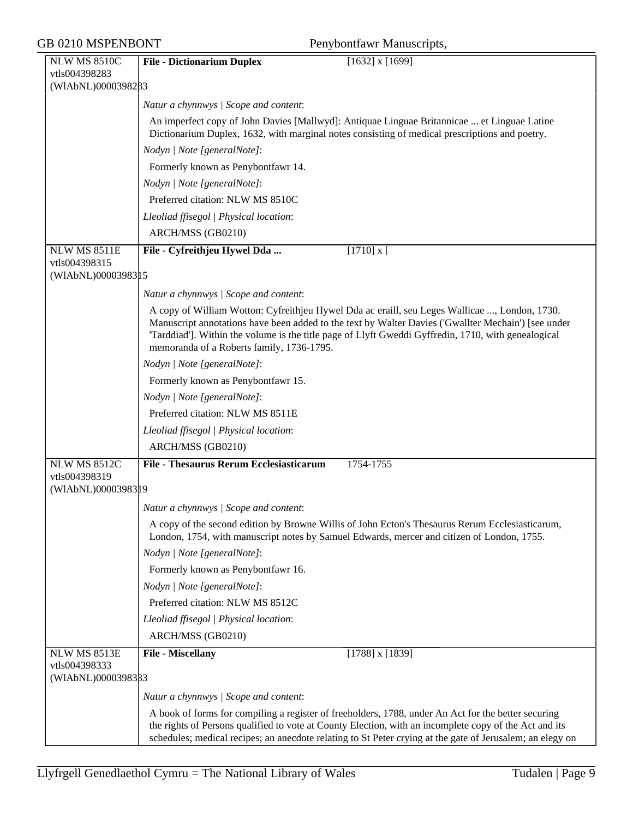| GB 0210 MSPENBONT |                                      | Penybontfawr Manuscripts,                                                                                                                                                                                                                               |
|-------------------|--------------------------------------|---------------------------------------------------------------------------------------------------------------------------------------------------------------------------------------------------------------------------------------------------------|
|                   | <b>NLW MS 8510C</b>                  | <b>File - Dictionarium Duplex</b><br>$[1632]$ x $[1699]$                                                                                                                                                                                                |
|                   | vtls004398283                        |                                                                                                                                                                                                                                                         |
|                   | (WIAbNL)0000398283                   |                                                                                                                                                                                                                                                         |
|                   |                                      | Natur a chynnwys / Scope and content:                                                                                                                                                                                                                   |
|                   |                                      | An imperfect copy of John Davies [Mallwyd]: Antiquae Linguae Britannicae  et Linguae Latine<br>Dictionarium Duplex, 1632, with marginal notes consisting of medical prescriptions and poetry.                                                           |
|                   |                                      | Nodyn   Note [generalNote]:                                                                                                                                                                                                                             |
|                   |                                      | Formerly known as Penybontfawr 14.                                                                                                                                                                                                                      |
|                   |                                      | Nodyn   Note [generalNote]:                                                                                                                                                                                                                             |
|                   |                                      | Preferred citation: NLW MS 8510C                                                                                                                                                                                                                        |
|                   |                                      | Lleoliad ffisegol   Physical location:                                                                                                                                                                                                                  |
|                   |                                      | ARCH/MSS (GB0210)                                                                                                                                                                                                                                       |
|                   | NLW MS 8511E                         | $[1710]$ x [<br>File - Cyfreithjeu Hywel Dda                                                                                                                                                                                                            |
|                   | vtls004398315<br>(WIAbNL)0000398315  |                                                                                                                                                                                                                                                         |
|                   |                                      | Natur a chynnwys / Scope and content:                                                                                                                                                                                                                   |
|                   |                                      | A copy of William Wotton: Cyfreithjeu Hywel Dda ac eraill, seu Leges Wallicae , London, 1730.                                                                                                                                                           |
|                   |                                      | Manuscript annotations have been added to the text by Walter Davies ('Gwallter Mechain') [see under<br>'Tarddiad']. Within the volume is the title page of Llyft Gweddi Gyffredin, 1710, with genealogical<br>memoranda of a Roberts family, 1736-1795. |
|                   |                                      | Nodyn   Note [generalNote]:                                                                                                                                                                                                                             |
|                   |                                      | Formerly known as Penybontfawr 15.                                                                                                                                                                                                                      |
|                   |                                      | Nodyn   Note [generalNote]:                                                                                                                                                                                                                             |
|                   |                                      | Preferred citation: NLW MS 8511E                                                                                                                                                                                                                        |
|                   |                                      | Lleoliad ffisegol   Physical location:                                                                                                                                                                                                                  |
|                   |                                      | ARCH/MSS (GB0210)                                                                                                                                                                                                                                       |
|                   | <b>NLW MS 8512C</b>                  | <b>File - Thesaurus Rerum Ecclesiasticarum</b><br>1754-1755                                                                                                                                                                                             |
|                   | vtls004398319<br>(WIAbNL)00003983 19 |                                                                                                                                                                                                                                                         |
|                   |                                      | Natur a chynnwys / Scope and content:                                                                                                                                                                                                                   |
|                   |                                      | A copy of the second edition by Browne Willis of John Ecton's Thesaurus Rerum Ecclesiasticarum,<br>London, 1754, with manuscript notes by Samuel Edwards, mercer and citizen of London, 1755.                                                           |
|                   |                                      | Nodyn   Note [generalNote]:                                                                                                                                                                                                                             |
|                   |                                      | Formerly known as Penybontfawr 16.                                                                                                                                                                                                                      |
|                   |                                      | Nodyn   Note [generalNote]:                                                                                                                                                                                                                             |
|                   |                                      | Preferred citation: NLW MS 8512C                                                                                                                                                                                                                        |
|                   |                                      | Lleoliad ffisegol   Physical location:                                                                                                                                                                                                                  |
|                   |                                      | ARCH/MSS (GB0210)                                                                                                                                                                                                                                       |
|                   | <b>NLW MS 8513E</b>                  | File - Miscellany<br>$[1788]$ x $[1839]$                                                                                                                                                                                                                |
|                   | vtls004398333<br>(WIAbNL)0000398333  |                                                                                                                                                                                                                                                         |
|                   |                                      | Natur a chynnwys / Scope and content:                                                                                                                                                                                                                   |
|                   |                                      | A book of forms for compiling a register of freeholders, 1788, under An Act for the better securing                                                                                                                                                     |
|                   |                                      | the rights of Persons qualified to vote at County Election, with an incomplete copy of the Act and its<br>schedules; medical recipes; an anecdote relating to St Peter crying at the gate of Jerusalem; an elegy on                                     |